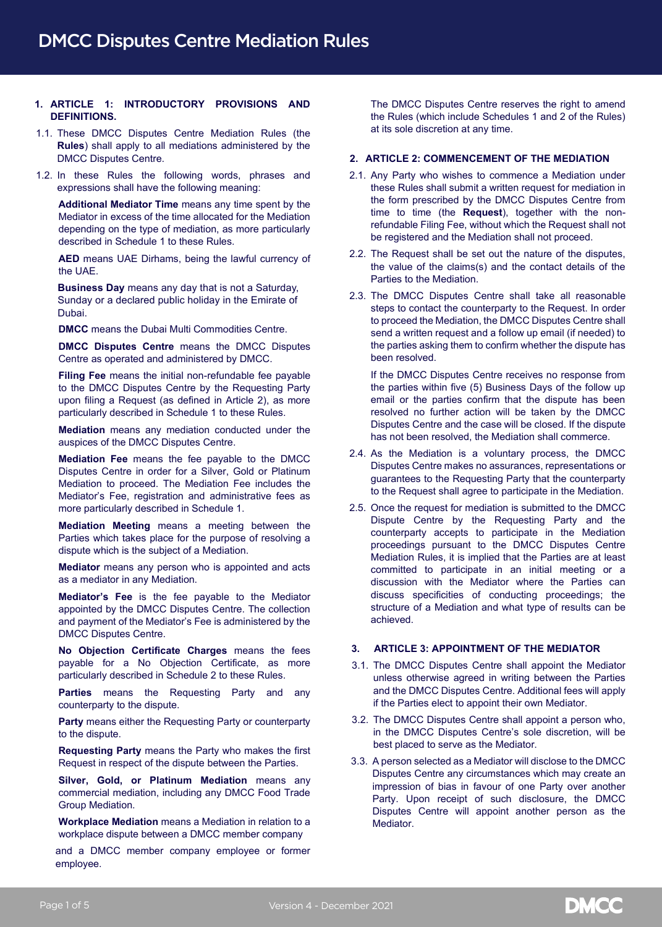# **1. ARTICLE 1: INTRODUCTORY PROVISIONS AND DEFINITIONS.**

- 1.1. These DMCC Disputes Centre Mediation Rules (the **Rules**) shall apply to all mediations administered by the DMCC Disputes Centre.
- 1.2. In these Rules the following words, phrases and expressions shall have the following meaning:

**Additional Mediator Time** means any time spent by the Mediator in excess of the time allocated for the Mediation depending on the type of mediation, as more particularly described in Schedule 1 to these Rules.

**AED** means UAE Dirhams, being the lawful currency of the UAE.

**Business Day** means any day that is not a Saturday, Sunday or a declared public holiday in the Emirate of Dubai. Dubai.

**DMCC** means the Dubai Multi Commodities Centre.

**DMCC Disputes Centre** means the DMCC Disputes Centre as operated and administered by DMCC.

**Filing Fee** means the initial non-refundable fee payable to the DMCC Disputes Centre by the Requesting Party upon filing a Request (as defined in Article 2), as more particularly described in Schedule 1 to these Rules.

**Mediation** means any mediation conducted under the auspices of the DMCC Disputes Centre.

**Mediation Fee** means the fee payable to the DMCC Disputes Centre in order for a Silver, Gold or Platinum Mediation to proceed. The Mediation Fee includes the Mediator's Fee, registration and administrative fees as more particularly described in Schedule 1.

**Mediation Meeting** means a meeting between the Parties which takes place for the purpose of resolving a dispute which is the subject of a Mediation.

**Mediator** means any person who is appointed and acts as a mediator in any Mediation.

**Mediator's Fee** is the fee payable to the Mediator appointed by the DMCC Disputes Centre. The collection and payment of the Mediator's Fee is administered by the DMCC Disputes Centre.

**No Objection Certificate Charges** means the fees payable for a No Objection Certificate, as more particularly described in Schedule 2 to these Rules.

**Parties** means the Requesting Party and any counterparty to the dispute.

**Party** means either the Requesting Party or counterparty to the dispute.

**Requesting Party** means the Party who makes the first Request in respect of the dispute between the Parties.

**Silver, Gold, or Platinum Mediation** means any commercial mediation, including any DMCC Food Trade Group Mediation.

**Workplace Mediation** means a Mediation in relation to a workplace dispute between a DMCC member company

and a DMCC member company employee or former employee.

The DMCC Disputes Centre reserves the right to amend the Rules (which include Schedules 1 and 2 of the Rules) at its sole discretion at any time.

## **2. ARTICLE 2: COMMENCEMENT OF THE MEDIATION**

- 2.1. Any Party who wishes to commence a Mediation under these Rules shall submit a written request for mediation in the form prescribed by the DMCC Disputes Centre from time to time (the **Request**), together with the nonrefundable Filing Fee, without which the Request shall not be registered and the Mediation shall not proceed.
- 2.2. The Request shall be set out the nature of the disputes, the value of the claims(s) and the contact details of the Parties to the Mediation.
- 2.3. The DMCC Disputes Centre shall take all reasonable steps to contact the counterparty to the Request. In order to proceed the Mediation, the DMCC Disputes Centre shall send a written request and a follow up email (if needed) to the parties asking them to confirm whether the dispute has been resolved.

If the DMCC Disputes Centre receives no response from the parties within five (5) Business Days of the follow up email or the parties confirm that the dispute has been resolved no further action will be taken by the DMCC Disputes Centre and the case will be closed. If the dispute has not been resolved, the Mediation shall commerce.

- 2.4. As the Mediation is a voluntary process, the DMCC Disputes Centre makes no assurances, representations or guarantees to the Requesting Party that the counterparty to the Request shall agree to participate in the Mediation.
- 2.5. Once the request for mediation is submitted to the DMCC Dispute Centre by the Requesting Party and the counterparty accepts to participate in the Mediation proceedings pursuant to the DMCC Disputes Centre Mediation Rules, it is implied that the Parties are at least committed to participate in an initial meeting or a discussion with the Mediator where the Parties can discuss specificities of conducting proceedings; the structure of a Mediation and what type of results can be achieved.

## **3. ARTICLE 3: APPOINTMENT OF THE MEDIATOR**

- 3.1. The DMCC Disputes Centre shall appoint the Mediator unless otherwise agreed in writing between the Parties and the DMCC Disputes Centre. Additional fees will apply if the Parties elect to appoint their own Mediator.
- 3.2. The DMCC Disputes Centre shall appoint a person who, in the DMCC Disputes Centre's sole discretion, will be best placed to serve as the Mediator.
- 3.3. A person selected as a Mediator will disclose to the DMCC Disputes Centre any circumstances which may create an impression of bias in favour of one Party over another Party. Upon receipt of such disclosure, the DMCC Disputes Centre will appoint another person as the Mediator.

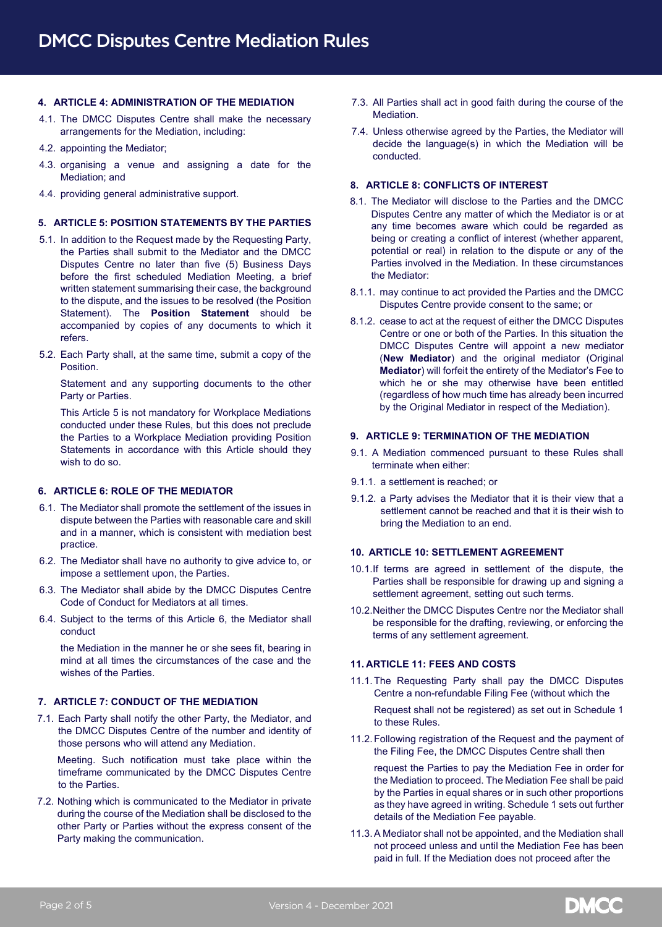## **4. ARTICLE 4: ADMINISTRATION OF THE MEDIATION**

- 4.1. The DMCC Disputes Centre shall make the necessary arrangements for the Mediation, including:
- 4.2. appointing the Mediator;
- 4.3. organising a venue and assigning a date for the Mediation; and
- 4.4. providing general administrative support.

## **5. ARTICLE 5: POSITION STATEMENTS BY THE PARTIES**

- 5.1. In addition to the Request made by the Requesting Party, the Parties shall submit to the Mediator and the DMCC Disputes Centre no later than five (5) Business Days before the first scheduled Mediation Meeting, a brief written statement summarising their case, the background to the dispute, and the issues to be resolved (the Position Statement). The **Position Statement** should be accompanied by copies of any documents to which it refers.
- 5.2. Each Party shall, at the same time, submit a copy of the Position.

Statement and any supporting documents to the other Party or Parties.

This Article 5 is not mandatory for Workplace Mediations conducted under these Rules, but this does not preclude the Parties to a Workplace Mediation providing Position Statements in accordance with this Article should they wish to do so.

#### **6. ARTICLE 6: ROLE OF THE MEDIATOR**

- 6.1. The Mediator shall promote the settlement of the issues in dispute between the Parties with reasonable care and skill and in a manner, which is consistent with mediation best practice.
- 6.2. The Mediator shall have no authority to give advice to, or impose a settlement upon, the Parties.
- 6.3. The Mediator shall abide by the DMCC Disputes Centre Code of Conduct for Mediators at all times.
- 6.4. Subject to the terms of this Article 6, the Mediator shall conduct

the Mediation in the manner he or she sees fit, bearing in mind at all times the circumstances of the case and the wishes of the Parties.

# **7. ARTICLE 7: CONDUCT OF THE MEDIATION**

7.1. Each Party shall notify the other Party, the Mediator, and the DMCC Disputes Centre of the number and identity of those persons who will attend any Mediation.

Meeting. Such notification must take place within the timeframe communicated by the DMCC Disputes Centre to the Parties.

7.2. Nothing which is communicated to the Mediator in private during the course of the Mediation shall be disclosed to the other Party or Parties without the express consent of the Party making the communication.

- 7.3. All Parties shall act in good faith during the course of the Mediation.
- 7.4. Unless otherwise agreed by the Parties, the Mediator will decide the language(s) in which the Mediation will be conducted.

## **8. ARTICLE 8: CONFLICTS OF INTEREST**

- 8.1. The Mediator will disclose to the Parties and the DMCC Disputes Centre any matter of which the Mediator is or at any time becomes aware which could be regarded as being or creating a conflict of interest (whether apparent, potential or real) in relation to the dispute or any of the Parties involved in the Mediation. In these circumstances the Mediator:
- 8.1.1. may continue to act provided the Parties and the DMCC Disputes Centre provide consent to the same; or
- 8.1.2. cease to act at the request of either the DMCC Disputes Centre or one or both of the Parties. In this situation the DMCC Disputes Centre will appoint a new mediator (**New Mediator**) and the original mediator (Original **Mediator**) will forfeit the entirety of the Mediator's Fee to which he or she may otherwise have been entitled (regardless of how much time has already been incurred by the Original Mediator in respect of the Mediation).

### **9. ARTICLE 9: TERMINATION OF THE MEDIATION**

- 9.1. A Mediation commenced pursuant to these Rules shall terminate when either:
- 9.1.1. a settlement is reached; or
- 9.1.2. a Party advises the Mediator that it is their view that a settlement cannot be reached and that it is their wish to bring the Mediation to an end.

#### **10. ARTICLE 10: SETTLEMENT AGREEMENT**

- 10.1.If terms are agreed in settlement of the dispute, the Parties shall be responsible for drawing up and signing a settlement agreement, setting out such terms.
- 10.2.Neither the DMCC Disputes Centre nor the Mediator shall be responsible for the drafting, reviewing, or enforcing the terms of any settlement agreement.

#### **11. ARTICLE 11: FEES AND COSTS**

11.1.The Requesting Party shall pay the DMCC Disputes Centre a non-refundable Filing Fee (without which the

Request shall not be registered) as set out in Schedule 1 to these Rules.

11.2.Following registration of the Request and the payment of the Filing Fee, the DMCC Disputes Centre shall then

request the Parties to pay the Mediation Fee in order for the Mediation to proceed. The Mediation Fee shall be paid by the Parties in equal shares or in such other proportions as they have agreed in writing. Schedule 1 sets out further details of the Mediation Fee payable.

11.3.A Mediator shall not be appointed, and the Mediation shall not proceed unless and until the Mediation Fee has been paid in full. If the Mediation does not proceed after the

**DMCC**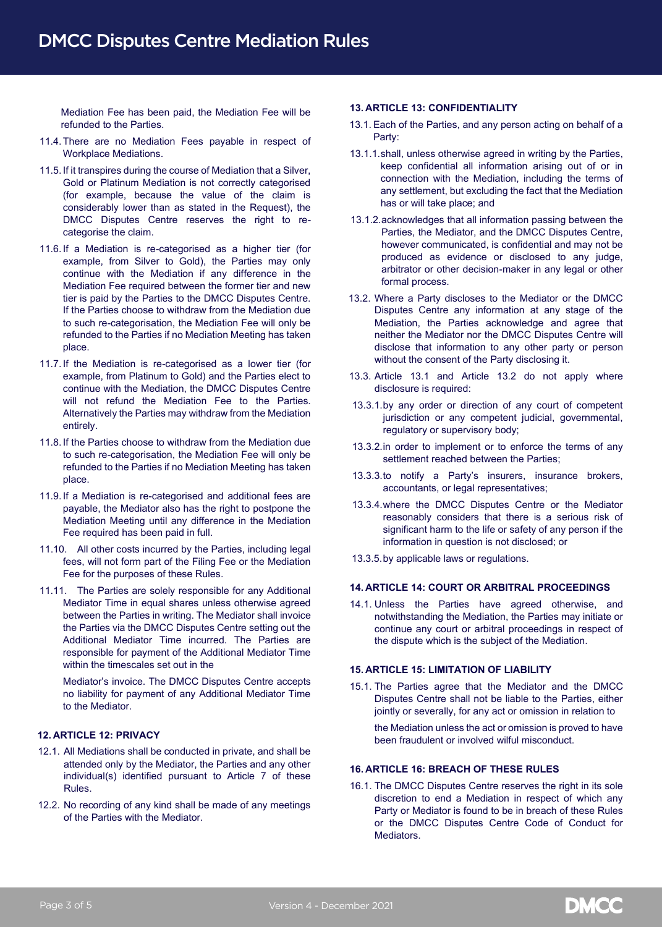Mediation Fee has been paid, the Mediation Fee will be refunded to the Parties.

- 11.4.There are no Mediation Fees payable in respect of Workplace Mediations.
- 11.5. If it transpires during the course of Mediation that a Silver, Gold or Platinum Mediation is not correctly categorised (for example, because the value of the claim is considerably lower than as stated in the Request), the DMCC Disputes Centre reserves the right to recategorise the claim.
- 11.6. If a Mediation is re-categorised as a higher tier (for example, from Silver to Gold), the Parties may only continue with the Mediation if any difference in the Mediation Fee required between the former tier and new tier is paid by the Parties to the DMCC Disputes Centre. If the Parties choose to withdraw from the Mediation due to such re-categorisation, the Mediation Fee will only be refunded to the Parties if no Mediation Meeting has taken place.
- 11.7.If the Mediation is re-categorised as a lower tier (for example, from Platinum to Gold) and the Parties elect to continue with the Mediation, the DMCC Disputes Centre will not refund the Mediation Fee to the Parties. Alternatively the Parties may withdraw from the Mediation entirely.
- 11.8.If the Parties choose to withdraw from the Mediation due to such re-categorisation, the Mediation Fee will only be refunded to the Parties if no Mediation Meeting has taken place.
- 11.9.If a Mediation is re-categorised and additional fees are payable, the Mediator also has the right to postpone the Mediation Meeting until any difference in the Mediation Fee required has been paid in full.
- 11.10. All other costs incurred by the Parties, including legal fees, will not form part of the Filing Fee or the Mediation Fee for the purposes of these Rules.
- 11.11. The Parties are solely responsible for any Additional Mediator Time in equal shares unless otherwise agreed between the Parties in writing. The Mediator shall invoice the Parties via the DMCC Disputes Centre setting out the Additional Mediator Time incurred. The Parties are responsible for payment of the Additional Mediator Time within the timescales set out in the

Mediator's invoice. The DMCC Disputes Centre accepts no liability for payment of any Additional Mediator Time to the Mediator.

# **12. ARTICLE 12: PRIVACY**

- 12.1. All Mediations shall be conducted in private, and shall be attended only by the Mediator, the Parties and any other individual(s) identified pursuant to Article 7 of these Rules.
- 12.2. No recording of any kind shall be made of any meetings of the Parties with the Mediator.

#### **13. ARTICLE 13: CONFIDENTIALITY**

- 13.1. Each of the Parties, and any person acting on behalf of a Party:
- 13.1.1.shall, unless otherwise agreed in writing by the Parties, keep confidential all information arising out of or in connection with the Mediation, including the terms of any settlement, but excluding the fact that the Mediation has or will take place; and
- 13.1.2.acknowledges that all information passing between the Parties, the Mediator, and the DMCC Disputes Centre, however communicated, is confidential and may not be produced as evidence or disclosed to any judge, arbitrator or other decision-maker in any legal or other formal process.
- 13.2. Where a Party discloses to the Mediator or the DMCC Disputes Centre any information at any stage of the Mediation, the Parties acknowledge and agree that neither the Mediator nor the DMCC Disputes Centre will disclose that information to any other party or person without the consent of the Party disclosing it.
- 13.3. Article 13.1 and Article 13.2 do not apply where disclosure is required:
- 13.3.1.by any order or direction of any court of competent jurisdiction or any competent judicial, governmental, regulatory or supervisory body;
- 13.3.2.in order to implement or to enforce the terms of any settlement reached between the Parties;
- 13.3.3.to notify a Party's insurers, insurance brokers, accountants, or legal representatives;
- 13.3.4.where the DMCC Disputes Centre or the Mediator reasonably considers that there is a serious risk of significant harm to the life or safety of any person if the information in question is not disclosed; or
- 13.3.5.by applicable laws or regulations.

### **14. ARTICLE 14: COURT OR ARBITRAL PROCEEDINGS**

14.1. Unless the Parties have agreed otherwise, and notwithstanding the Mediation, the Parties may initiate or continue any court or arbitral proceedings in respect of the dispute which is the subject of the Mediation.

### **15. ARTICLE 15: LIMITATION OF LIABILITY**

15.1. The Parties agree that the Mediator and the DMCC Disputes Centre shall not be liable to the Parties, either jointly or severally, for any act or omission in relation to

the Mediation unless the act or omission is proved to have been fraudulent or involved wilful misconduct.

## **16. ARTICLE 16: BREACH OF THESE RULES**

16.1. The DMCC Disputes Centre reserves the right in its sole discretion to end a Mediation in respect of which any Party or Mediator is found to be in breach of these Rules or the DMCC Disputes Centre Code of Conduct for Mediators.

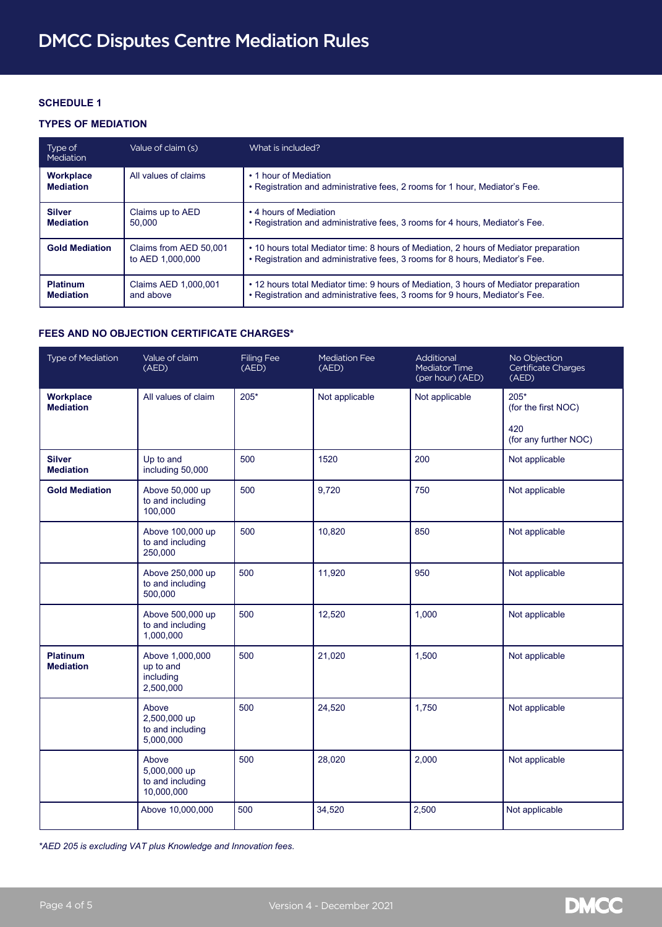# **SCHEDULE 1**

# **TYPES OF MEDIATION**

| Type of<br>Mediation                 | Value of claim (s)                         | What is included?                                                                                                                                                     |  |
|--------------------------------------|--------------------------------------------|-----------------------------------------------------------------------------------------------------------------------------------------------------------------------|--|
| <b>Workplace</b><br><b>Mediation</b> | All values of claims                       | • 1 hour of Mediation<br>• Registration and administrative fees, 2 rooms for 1 hour, Mediator's Fee.                                                                  |  |
| <b>Silver</b><br><b>Mediation</b>    | Claims up to AED<br>50.000                 | • 4 hours of Mediation<br>. Registration and administrative fees, 3 rooms for 4 hours, Mediator's Fee.                                                                |  |
| <b>Gold Mediation</b>                | Claims from AED 50,001<br>to AED 1.000,000 | • 10 hours total Mediator time: 8 hours of Mediation, 2 hours of Mediator preparation<br>• Registration and administrative fees, 3 rooms for 8 hours, Mediator's Fee. |  |
| <b>Platinum</b><br><b>Mediation</b>  | Claims AED 1.000.001<br>and above          | • 12 hours total Mediator time: 9 hours of Mediation, 3 hours of Mediator preparation<br>• Registration and administrative fees, 3 rooms for 9 hours, Mediator's Fee. |  |

## **FEES AND NO OBJECTION CERTIFICATE CHARGES\***

| Type of Mediation                   | Value of claim<br>(AED)                                 | <b>Filing Fee</b><br>(AED) | <b>Mediation Fee</b><br>(AED) | Additional<br>Mediator Time<br>(per hour) (AED) | No Objection<br>Certificate Charges<br>(AED)                  |
|-------------------------------------|---------------------------------------------------------|----------------------------|-------------------------------|-------------------------------------------------|---------------------------------------------------------------|
| Workplace<br><b>Mediation</b>       | All values of claim                                     | $205*$                     | Not applicable                | Not applicable                                  | $205*$<br>(for the first NOC)<br>420<br>(for any further NOC) |
| <b>Silver</b><br><b>Mediation</b>   | Up to and<br>including 50,000                           | 500                        | 1520                          | 200                                             | Not applicable                                                |
| <b>Gold Mediation</b>               | Above 50,000 up<br>to and including<br>100,000          | 500                        | 9,720                         | 750                                             | Not applicable                                                |
|                                     | Above 100,000 up<br>to and including<br>250,000         | 500                        | 10,820                        | 850                                             | Not applicable                                                |
|                                     | Above 250,000 up<br>to and including<br>500,000         | 500                        | 11,920                        | 950                                             | Not applicable                                                |
|                                     | Above 500,000 up<br>to and including<br>1,000,000       | 500                        | 12,520                        | 1,000                                           | Not applicable                                                |
| <b>Platinum</b><br><b>Mediation</b> | Above 1,000,000<br>up to and<br>including<br>2,500,000  | 500                        | 21,020                        | 1,500                                           | Not applicable                                                |
|                                     | Above<br>2,500,000 up<br>to and including<br>5,000,000  | 500                        | 24,520                        | 1,750                                           | Not applicable                                                |
|                                     | Above<br>5,000,000 up<br>to and including<br>10,000,000 | 500                        | 28,020                        | 2.000                                           | Not applicable                                                |
|                                     | Above 10,000,000                                        | 500                        | 34,520                        | 2,500                                           | Not applicable                                                |

*\*AED 205 is excluding VAT plus Knowledge and Innovation fees.*